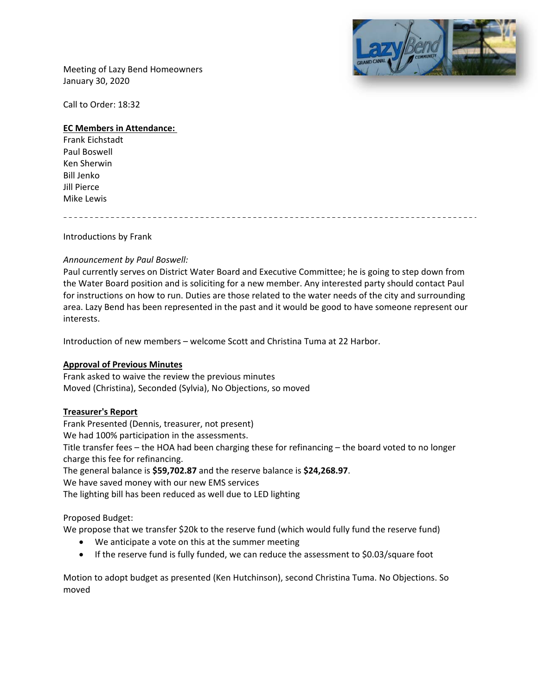

Meeting of Lazy Bend Homeowners January 30, 2020

Call to Order: 18:32

### **EC Members in Attendance:**

Frank Eichstadt Paul Boswell Ken Sherwin Bill Jenko Jill Pierce Mike Lewis

Introductions by Frank

### *Announcement by Paul Boswell:*

Paul currently serves on District Water Board and Executive Committee; he is going to step down from the Water Board position and is soliciting for a new member. Any interested party should contact Paul for instructions on how to run. Duties are those related to the water needs of the city and surrounding area. Lazy Bend has been represented in the past and it would be good to have someone represent our interests.

Introduction of new members – welcome Scott and Christina Tuma at 22 Harbor.

#### **Approval of Previous Minutes**

Frank asked to waive the review the previous minutes Moved (Christina), Seconded (Sylvia), No Objections, so moved

#### **Treasurer's Report**

Frank Presented (Dennis, treasurer, not present) We had 100% participation in the assessments. Title transfer fees – the HOA had been charging these for refinancing – the board voted to no longer charge this fee for refinancing.

The general balance is **\$59,702.87** and the reserve balance is **\$24,268.97**.

We have saved money with our new EMS services

The lighting bill has been reduced as well due to LED lighting

## Proposed Budget:

We propose that we transfer \$20k to the reserve fund (which would fully fund the reserve fund)

- We anticipate a vote on this at the summer meeting
- If the reserve fund is fully funded, we can reduce the assessment to \$0.03/square foot

Motion to adopt budget as presented (Ken Hutchinson), second Christina Tuma. No Objections. So moved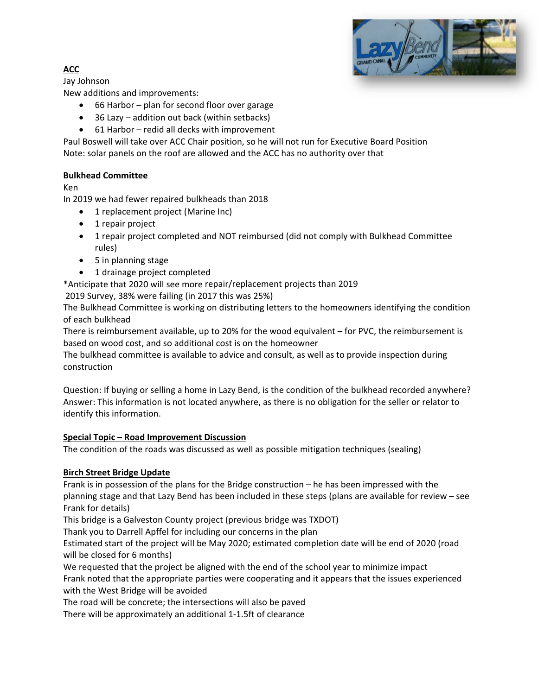

# **ACC**

Jay Johnson

New additions and improvements:

- 66 Harbor plan for second floor over garage
- 36 Lazy addition out back (within setbacks)
- 61 Harbor redid all decks with improvement

Paul Boswell will take over ACC Chair position, so he will not run for Executive Board Position Note: solar panels on the roof are allowed and the ACC has no authority over that

# **Bulkhead Committee**

Ken

In 2019 we had fewer repaired bulkheads than 2018

- 1 replacement project (Marine Inc)
- 1 repair project
- 1 repair project completed and NOT reimbursed (did not comply with Bulkhead Committee rules)
- 5 in planning stage
- 1 drainage project completed

\*Anticipate that 2020 will see more repair/replacement projects than 2019

2019 Survey, 38% were failing (in 2017 this was 25%)

The Bulkhead Committee is working on distributing letters to the homeowners identifying the condition of each bulkhead

There is reimbursement available, up to 20% for the wood equivalent – for PVC, the reimbursement is based on wood cost, and so additional cost is on the homeowner

The bulkhead committee is available to advice and consult, as well as to provide inspection during construction

Question: If buying or selling a home in Lazy Bend, is the condition of the bulkhead recorded anywhere? Answer: This information is not located anywhere, as there is no obligation for the seller or relator to identify this information.

# **Special Topic – Road Improvement Discussion**

The condition of the roads was discussed as well as possible mitigation techniques (sealing)

# **Birch Street Bridge Update**

Frank is in possession of the plans for the Bridge construction – he has been impressed with the planning stage and that Lazy Bend has been included in these steps (plans are available for review – see Frank for details)

This bridge is a Galveston County project (previous bridge was TXDOT)

Thank you to Darrell Apffel for including our concerns in the plan

Estimated start of the project will be May 2020; estimated completion date will be end of 2020 (road will be closed for 6 months)

We requested that the project be aligned with the end of the school year to minimize impact Frank noted that the appropriate parties were cooperating and it appears that the issues experienced with the West Bridge will be avoided

The road will be concrete; the intersections will also be paved

There will be approximately an additional 1‐1.5ft of clearance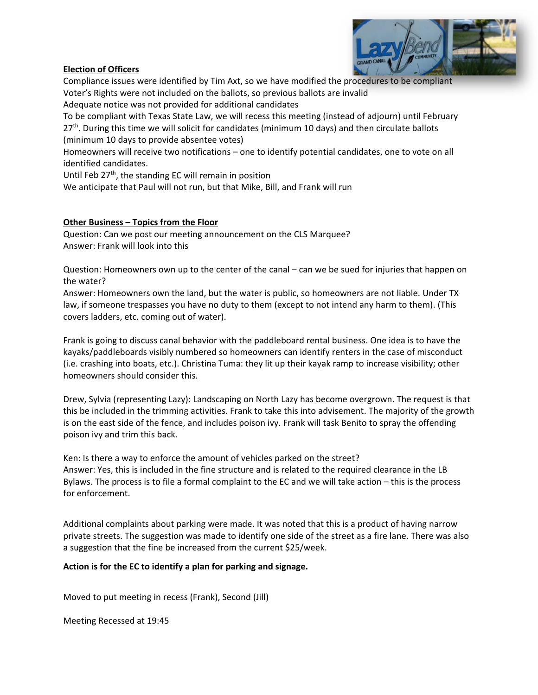## **Election of Officers**



Compliance issues were identified by Tim Axt, so we have modified the procedures to be compliant Voter's Rights were not included on the ballots, so previous ballots are invalid

Adequate notice was not provided for additional candidates

To be compliant with Texas State Law, we will recess this meeting (instead of adjourn) until February  $27<sup>th</sup>$ . During this time we will solicit for candidates (minimum 10 days) and then circulate ballots (minimum 10 days to provide absentee votes)

Homeowners will receive two notifications – one to identify potential candidates, one to vote on all identified candidates.

Until Feb  $27<sup>th</sup>$ , the standing EC will remain in position

We anticipate that Paul will not run, but that Mike, Bill, and Frank will run

## **Other Business – Topics from the Floor**

Question: Can we post our meeting announcement on the CLS Marquee? Answer: Frank will look into this

Question: Homeowners own up to the center of the canal – can we be sued for injuries that happen on the water?

Answer: Homeowners own the land, but the water is public, so homeowners are not liable. Under TX law, if someone trespasses you have no duty to them (except to not intend any harm to them). (This covers ladders, etc. coming out of water).

Frank is going to discuss canal behavior with the paddleboard rental business. One idea is to have the kayaks/paddleboards visibly numbered so homeowners can identify renters in the case of misconduct (i.e. crashing into boats, etc.). Christina Tuma: they lit up their kayak ramp to increase visibility; other homeowners should consider this.

Drew, Sylvia (representing Lazy): Landscaping on North Lazy has become overgrown. The request is that this be included in the trimming activities. Frank to take this into advisement. The majority of the growth is on the east side of the fence, and includes poison ivy. Frank will task Benito to spray the offending poison ivy and trim this back.

Ken: Is there a way to enforce the amount of vehicles parked on the street? Answer: Yes, this is included in the fine structure and is related to the required clearance in the LB Bylaws. The process is to file a formal complaint to the EC and we will take action – this is the process for enforcement.

Additional complaints about parking were made. It was noted that this is a product of having narrow private streets. The suggestion was made to identify one side of the street as a fire lane. There was also a suggestion that the fine be increased from the current \$25/week.

## **Action is for the EC to identify a plan for parking and signage.**

Moved to put meeting in recess (Frank), Second (Jill)

Meeting Recessed at 19:45